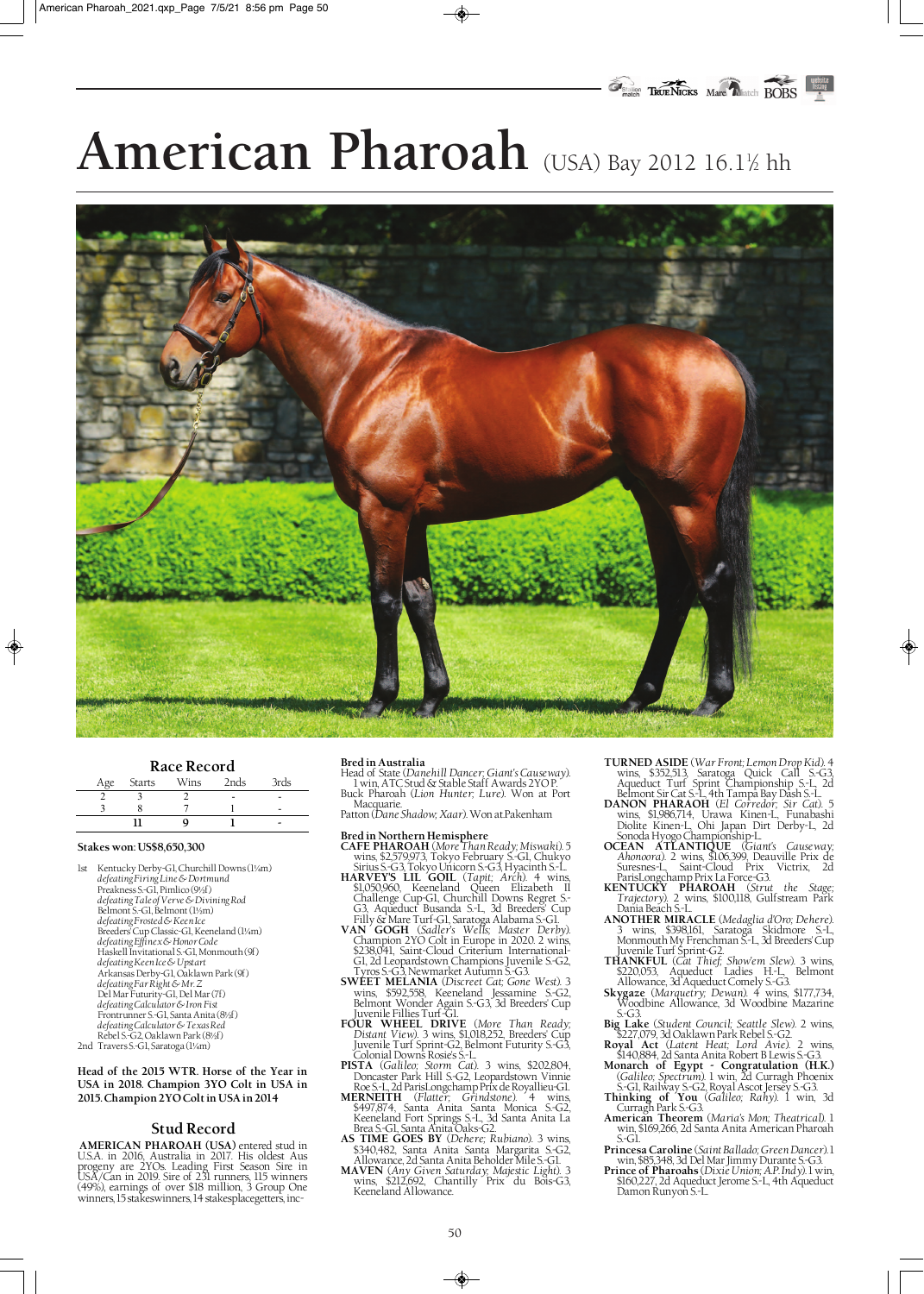# American Pharoah (USA) Bay 2012 16.1½ hh



## **Race Record**

| Age | Starts | Wins | 2nds | 3rds |
|-----|--------|------|------|------|
|     |        |      |      |      |
|     |        |      |      |      |
|     |        |      |      | -    |

#### **Stakes won: US\$8,650,300**

◈

1st Kentucky Derby-G1, Churchill Downs (1¼m) *defeating Firing Line & Dortmund* Preakness S.-G1, Pimlico (9½f) *defeating Tale of Verve & Divining Rod* Belmont S.-G1, Belmont (1½m) *defeating Frosted & Keen Ice* Breeders' Cup Classic-G1, Keeneland (1¼m) *defeating Effinex & Honor Code* Haskell Invitational S.-G1, Monmouth (9f) *defeating Keen Ice & Upstart* Arkansas Derby-G1, Oaklawn Park (9f) *defeating Far Right & Mr. Z* Del Mar Futurity-G1, Del Mar (7f) *defeating Calculator & Iron Fist* Frontrunner S.-G1, Santa Anita (8½f) *defeating Calculator & Texas Red* Rebel S.-G2, Oaklawn Park (8½f)

2nd Travers S.-G1, Saratoga (1¼m)

**Head of the 2015 WTR. Horse of the Year in USA in 2018. Champion 3YO Colt in USA in 2015. Champion 2YO Colt in USA in 2014**

# **Stud Record**

**AMERICAN PHAROAH (USA)** entered stud in U.S.A. in 2016, Australia in 2017. His oldest Aus progeny are 2YOs. Leading First Season Sire in USA/Can in 2019. Sire of 231 runners, 115 winners (49%), earnings of over \$18 million, 3 Group One winners, 15 stakeswinners, 14 stakesplacegetters, inc-

#### **Bred in Australia**

Head of State (*Danehill Dancer; Giant's Causeway*). 1 win, ATC Stud & Stable Staff Awards 2YO P. Buck Pharoah (*Lion Hunter; Lure*). Won at Port

Macquarie. Patton (*Dane Shadow; Xaar*). Won at.Pakenham

- **Bred in Northern Hemisphere CAFE PHAROAH** (*More Than Ready; Miswaki*). 5 wins, \$2,579,973, Tokyo February S.-G1, Chukyo Sirius S.-G3, Tokyo Unicorn S.-G3, Hyacinth S.-L. **HARVEY'S LIL GOIL** (*Tapit; Arch*). 4 wins,
- \$1,050,960, Keeneland Queen Elizabeth II Challenge Cup-G1, Churchill Downs Regret S.- G3, Aqueduct Busanda S.-L, 3d Breeders' Cup
- Filly & Mare Turf-G1, Saratoga Alabama S.-G1. **VAN GOGH** (*Sadler's Wells; Master Derby*). Champion 2YO Colt in Europe in 2020. 2 wins, \$238,041, Saint-Cloud Criterium International-G1, 2d Leopardstown Champions Juvenile S.-G2, Tyros S.-G3, Newmarket Autumn S.-G3.
- **SWEET MELANIA** (*Discreet Cat; Gone West*). 3 wins, \$592,558, Keeneland Jessamine S.-G2, Belmont Wonder Again S.-G3, 3d Breeders' Cup
- Juvenile Fillies Turf-G1. **FOUR WHEEL DRIVE** (*More Than Ready; Distant View*). 3 wins, \$1,018,252, Breeders' Cup Juvenile Turf Sprint-G2, Belmont Futurity S.-G3, Colonial Downs Rosie's S.-L. **PISTA** (*Galileo; Storm Cat*). 3 wins, \$202,804,
- Doncaster Park Hill S.-G2, Leopardstown Vinnie
- Roe S.-L, 2d ParisLongchamp Prix de Royallieu-G1. **MERNEITH** (*Flatter; Grindstone*). 4 wins, \$497,874, Santa Anita Santa Monica S.-G2, Keeneland Fort Springs S.-L, 3d Santa Anita La Brea S.-G1, Santa Anita Oaks-G2. **AS TIME GOES BY** (*Dehere; Rubiano*). 3 wins,
- \$340,482, Santa Anita Santa Margarita S.-G2, \$340,482, Santa Anita Santa Margarita S.-G2,<br>Allowance, 2d Santa Anita Beholder Mile S.-G1.
- **MAVEN** (*Any Given Saturday; Majestic Light*). 3 wins, \$212,692, Chantilly Prix du Bois-G3, Keeneland Allowance.

**TURNED ASIDE** (*War Front; Lemon Drop Kid*). 4 wins, \$352,513, Saratoga Quick Call S.-G3, Aqueduct Turf Sprint Championship S.-L, 2d ♦

- Belmont Sir Cat S.-L, 4th Tampa Bay Dash S.-L. **DANON PHARAOH** (*El Corredor; Sir Cat*). 5 wins, \$1,986,714, Urawa Kinen-L, Funabashi Diolite Kinen-L, Ohi Japan Dirt Derby-L, 2d
- Sonoda Hyogo Championship-L. **OCEAN ATLANTIQUE** (*Giant's Causeway; Ahonoora*). 2 wins, \$106,399, Deauville Prix de Suresnes-L, Saint-Cloud Prix Victrix, 2d ParisLongchamp Prix La Force-G3. **KENTUCKY PHAROAH** (*Strut the Stage;*
- *Trajectory*). 2 wins, \$100,118, Gulfstream Park Dania Beach S.-L.
- **ANOTHER MIRACLE** (*Medaglia d'Oro; Dehere*). 3 wins, \$398,161, Saratoga Skidmore S.-L, Monmouth My Frenchman S.-L, 3d Breeders' Cup
- Juvenile Turf Sprint-G2. **THANKFUL** (*Cat Thief; Show'em Slew*). 3 wins, \$220,053, Aqueduct Ladies H.-L, Belmont
- Allowance, 3d Aqueduct Comely S.-G3. **Skygaze** (*Marquetry; Dewan*). 4 wins, \$177,734, Woodbine Allowance, 3d Woodbine Mazarine
- S.-G3. **Big Lake** (*Student Council; Seattle Slew*). 2 wins, \$227,079, 3d Oaklawn Park Rebel S.-G2. **Royal Act** (*Latent Heat; Lord Avie*). 2 wins,
- \$140,884, 2d Santa Anita Robert B Lewis S.-G3. **Monarch of Egypt Congratulation (H.K.)**
- (*Galileo; Spectrum*). 1 win, 2d Curragh Phoenix S.-G1, Railway S.-G2, Royal Ascot Jersey S.-G3. **Thinking of You** (*Galileo; Rahy*). 1 win, 3d
- Curragh Park S.-G3. **American Theorem** (*Maria's Mon; Theatrical*). 1 win, \$169,266, 2d Santa Anita American Pharoah S.-G1.
- **Princesa Caroline** (*Saint Ballado; Green Dancer*). 1 win, \$85,348, 3d Del Mar Jimmy Durante S.-G3. **Prince of Pharoahs** (*Dixie Union; A.P. Indy*). 1 win,
- \$160,227, 2d Aqueduct Jerome S.-L, 4th Aqueduct Damon Runyon S.-L.